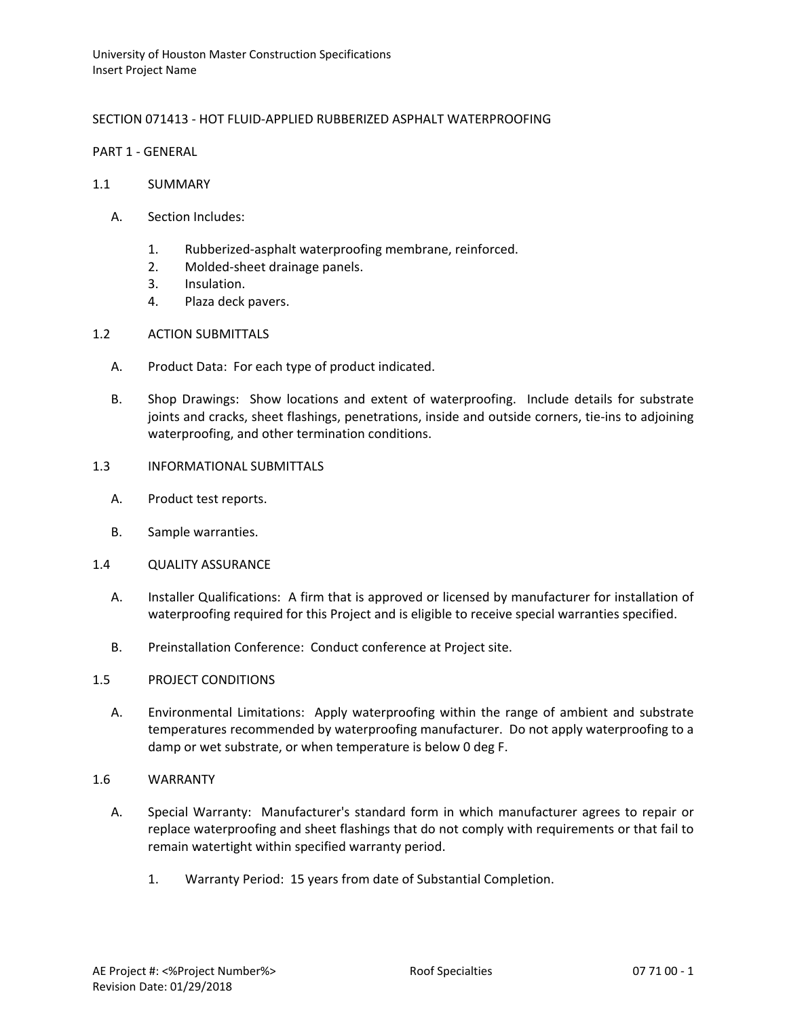# SECTION 071413 - HOT FLUID-APPLIED RUBBERIZED ASPHALT WATERPROOFING

PART 1 - GENERAL

- 1.1 SUMMARY
	- A. Section Includes:
		- 1. Rubberized-asphalt waterproofing membrane, reinforced.
		- 2. Molded-sheet drainage panels.
		- 3. Insulation.
		- 4. Plaza deck pavers.
- 1.2 ACTION SUBMITTALS
	- A. Product Data: For each type of product indicated.
	- B. Shop Drawings: Show locations and extent of waterproofing. Include details for substrate joints and cracks, sheet flashings, penetrations, inside and outside corners, tie-ins to adjoining waterproofing, and other termination conditions.
- 1.3 INFORMATIONAL SUBMITTALS
	- A. Product test reports.
	- B. Sample warranties.
- 1.4 QUALITY ASSURANCE
	- A. Installer Qualifications: A firm that is approved or licensed by manufacturer for installation of waterproofing required for this Project and is eligible to receive special warranties specified.
	- B. Preinstallation Conference: Conduct conference at Project site.
- 1.5 PROJECT CONDITIONS
	- A. Environmental Limitations: Apply waterproofing within the range of ambient and substrate temperatures recommended by waterproofing manufacturer. Do not apply waterproofing to a damp or wet substrate, or when temperature is below 0 deg F.
- 1.6 WARRANTY
	- A. Special Warranty: Manufacturer's standard form in which manufacturer agrees to repair or replace waterproofing and sheet flashings that do not comply with requirements or that fail to remain watertight within specified warranty period.
		- 1. Warranty Period: 15 years from date of Substantial Completion.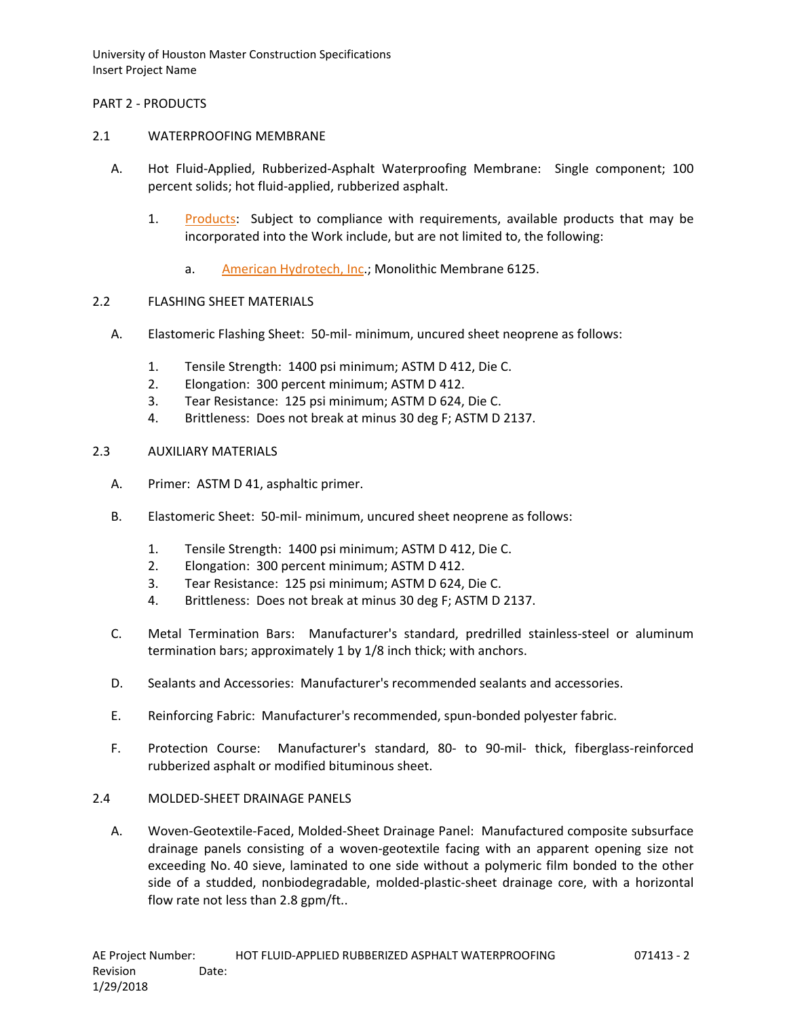## PART 2 - PRODUCTS

### 2.1 WATERPROOFING MEMBRANE

- A. Hot Fluid-Applied, Rubberized-Asphalt Waterproofing Membrane: Single component; 100 percent solids; hot fluid-applied, rubberized asphalt.
	- 1. [Products:](http://www.specagent.com/LookUp/?ulid=4322&mf=04&src=wd) Subject to compliance with requirements, available products that may be incorporated into the Work include, but are not limited to, the following:
		- a. [American Hydrotech, Inc.](http://www.specagent.com/LookUp/?uid=123456799134&mf=04&src=wd); Monolithic Membrane 6125.

## 2.2 FLASHING SHEET MATERIALS

- A. Elastomeric Flashing Sheet: 50-mil- minimum, uncured sheet neoprene as follows:
	- 1. Tensile Strength: 1400 psi minimum; ASTM D 412, Die C.
	- 2. Elongation: 300 percent minimum; ASTM D 412.
	- 3. Tear Resistance: 125 psi minimum; ASTM D 624, Die C.
	- 4. Brittleness: Does not break at minus 30 deg F; ASTM D 2137.

#### 2.3 AUXILIARY MATERIALS

- A. Primer: ASTM D 41, asphaltic primer.
- B. Elastomeric Sheet: 50-mil- minimum, uncured sheet neoprene as follows:
	- 1. Tensile Strength: 1400 psi minimum; ASTM D 412, Die C.
	- 2. Elongation: 300 percent minimum; ASTM D 412.
	- 3. Tear Resistance: 125 psi minimum; ASTM D 624, Die C.
	- 4. Brittleness: Does not break at minus 30 deg F; ASTM D 2137.
- C. Metal Termination Bars: Manufacturer's standard, predrilled stainless-steel or aluminum termination bars; approximately 1 by 1/8 inch thick; with anchors.
- D. Sealants and Accessories: Manufacturer's recommended sealants and accessories.
- E. Reinforcing Fabric: Manufacturer's recommended, spun-bonded polyester fabric.
- F. Protection Course: Manufacturer's standard, 80- to 90-mil- thick, fiberglass-reinforced rubberized asphalt or modified bituminous sheet.

# 2.4 MOLDED-SHEET DRAINAGE PANELS

A. Woven-Geotextile-Faced, Molded-Sheet Drainage Panel: Manufactured composite subsurface drainage panels consisting of a woven-geotextile facing with an apparent opening size not exceeding No. 40 sieve, laminated to one side without a polymeric film bonded to the other side of a studded, nonbiodegradable, molded-plastic-sheet drainage core, with a horizontal flow rate not less than 2.8 gpm/ft..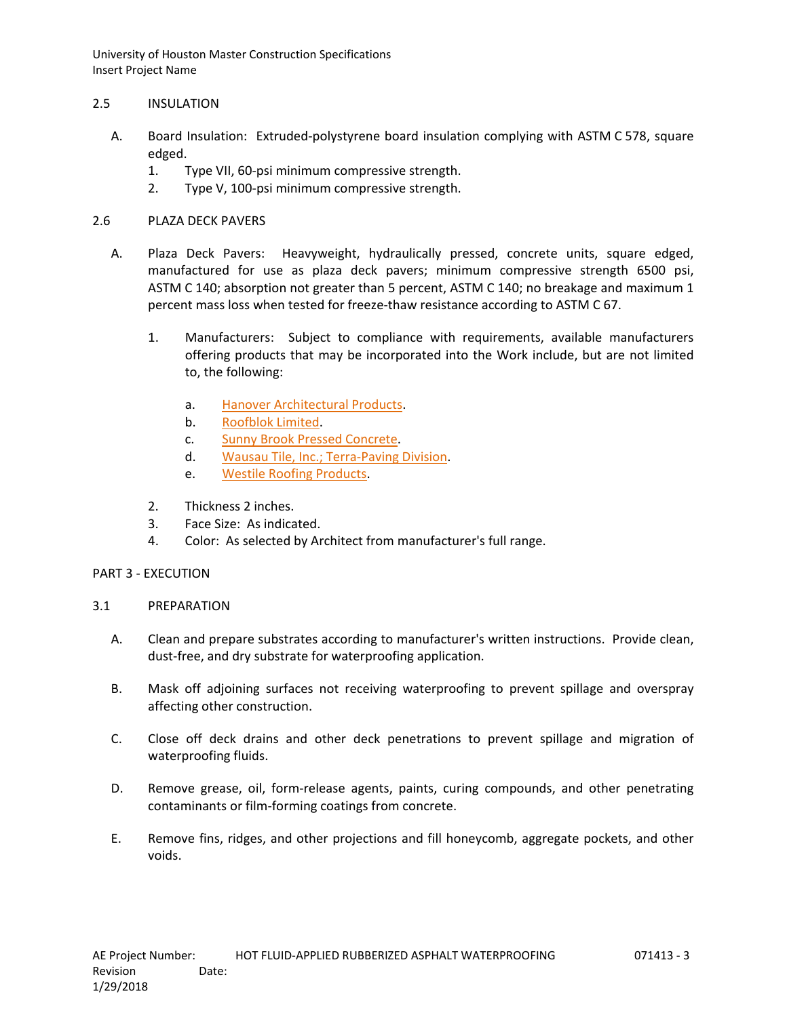## 2.5 INSULATION

- A. Board Insulation: Extruded-polystyrene board insulation complying with ASTM C 578, square edged.
	- 1. Type VII, 60-psi minimum compressive strength.
	- 2. Type V, 100-psi minimum compressive strength.

## 2.6 PLAZA DECK PAVERS

- A. Plaza Deck Pavers: Heavyweight, hydraulically pressed, concrete units, square edged, manufactured for use as plaza deck pavers; minimum compressive strength 6500 psi, ASTM C 140; absorption not greater than 5 percent, ASTM C 140; no breakage and maximum 1 percent mass loss when tested for freeze-thaw resistance according to ASTM C 67.
	- 1. Manufacturers: Subject to compliance with requirements, available manufacturers offering products that may be incorporated into the Work include, but are not limited to, the following:
		- a. [Hanover Architectural Products.](http://www.specagent.com/LookUp/?uid=123456799148&mf=04&src=wd)
		- b. [Roofblok Limited.](http://www.specagent.com/LookUp/?uid=123456799151&mf=04&src=wd)
		- c. [Sunny Brook Pressed Concrete.](http://www.specagent.com/LookUp/?uid=123456799153&mf=04&src=wd)
		- d. [Wausau Tile, Inc.; Terra-Paving Division.](http://www.specagent.com/LookUp/?uid=123456799154&mf=04&src=wd)
		- e. [Westile Roofing Products.](http://www.specagent.com/LookUp/?uid=123456799156&mf=04&src=wd)
	- 2. Thickness 2 inches.
	- 3. Face Size: As indicated.
	- 4. Color: As selected by Architect from manufacturer's full range.

# PART 3 - EXECUTION

#### 3.1 PREPARATION

- A. Clean and prepare substrates according to manufacturer's written instructions. Provide clean, dust-free, and dry substrate for waterproofing application.
- B. Mask off adjoining surfaces not receiving waterproofing to prevent spillage and overspray affecting other construction.
- C. Close off deck drains and other deck penetrations to prevent spillage and migration of waterproofing fluids.
- D. Remove grease, oil, form-release agents, paints, curing compounds, and other penetrating contaminants or film-forming coatings from concrete.
- E. Remove fins, ridges, and other projections and fill honeycomb, aggregate pockets, and other voids.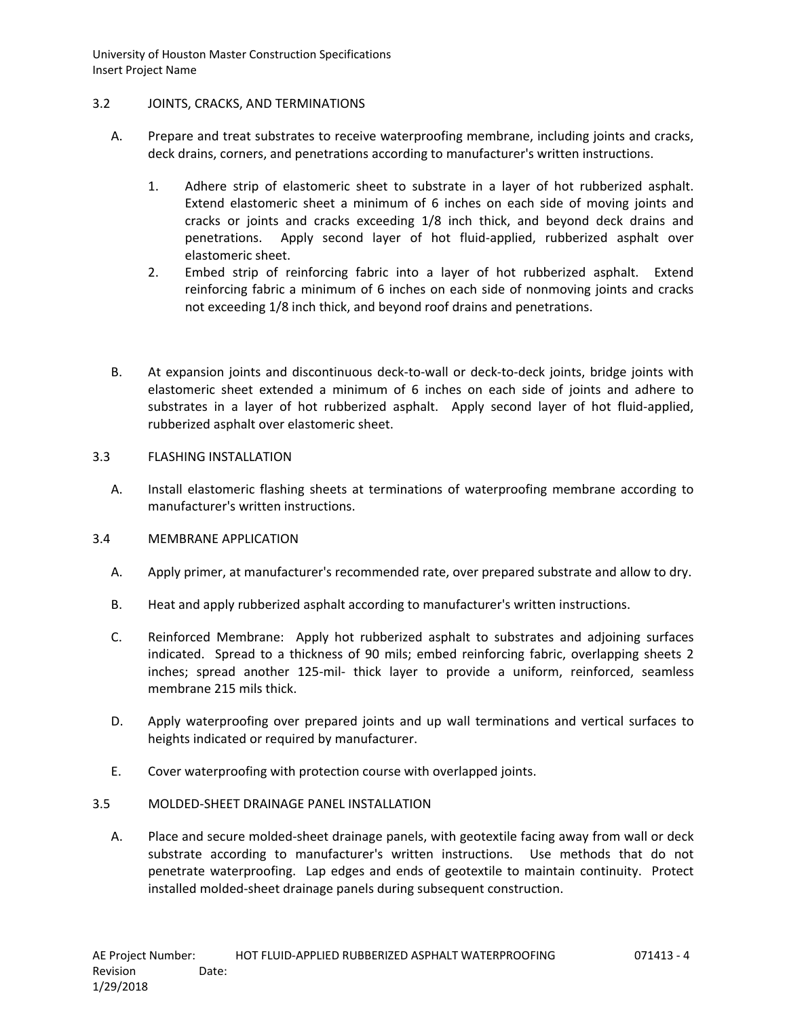## 3.2 JOINTS, CRACKS, AND TERMINATIONS

- A. Prepare and treat substrates to receive waterproofing membrane, including joints and cracks, deck drains, corners, and penetrations according to manufacturer's written instructions.
	- 1. Adhere strip of elastomeric sheet to substrate in a layer of hot rubberized asphalt. Extend elastomeric sheet a minimum of 6 inches on each side of moving joints and cracks or joints and cracks exceeding 1/8 inch thick, and beyond deck drains and penetrations. Apply second layer of hot fluid-applied, rubberized asphalt over elastomeric sheet.
	- 2. Embed strip of reinforcing fabric into a layer of hot rubberized asphalt. Extend reinforcing fabric a minimum of 6 inches on each side of nonmoving joints and cracks not exceeding 1/8 inch thick, and beyond roof drains and penetrations.
- B. At expansion joints and discontinuous deck-to-wall or deck-to-deck joints, bridge joints with elastomeric sheet extended a minimum of 6 inches on each side of joints and adhere to substrates in a layer of hot rubberized asphalt. Apply second layer of hot fluid-applied, rubberized asphalt over elastomeric sheet.

## 3.3 FLASHING INSTALLATION

A. Install elastomeric flashing sheets at terminations of waterproofing membrane according to manufacturer's written instructions.

#### 3.4 MEMBRANE APPLICATION

- A. Apply primer, at manufacturer's recommended rate, over prepared substrate and allow to dry.
- B. Heat and apply rubberized asphalt according to manufacturer's written instructions.
- C. Reinforced Membrane: Apply hot rubberized asphalt to substrates and adjoining surfaces indicated. Spread to a thickness of 90 mils; embed reinforcing fabric, overlapping sheets 2 inches; spread another 125-mil- thick layer to provide a uniform, reinforced, seamless membrane 215 mils thick.
- D. Apply waterproofing over prepared joints and up wall terminations and vertical surfaces to heights indicated or required by manufacturer.
- E. Cover waterproofing with protection course with overlapped joints.

## 3.5 MOLDED-SHEET DRAINAGE PANEL INSTALLATION

A. Place and secure molded-sheet drainage panels, with geotextile facing away from wall or deck substrate according to manufacturer's written instructions. Use methods that do not penetrate waterproofing. Lap edges and ends of geotextile to maintain continuity. Protect installed molded-sheet drainage panels during subsequent construction.